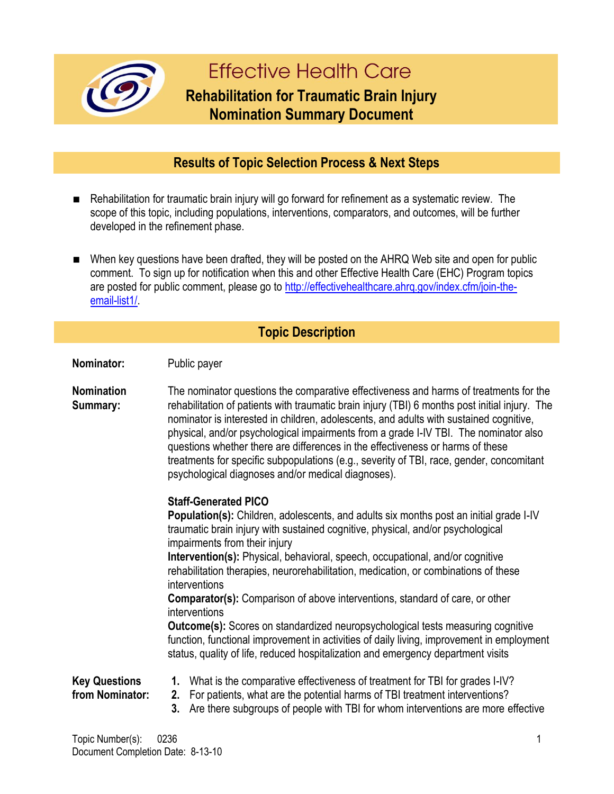

# **Effective Health Care**

## **Rehabilitation for Traumatic Brain Injury Nomination Summary Document**

### **Results of Topic Selection Process & Next Steps**

- Rehabilitation for traumatic brain injury will go forward for refinement as a systematic review. The scope of this topic, including populations, interventions, comparators, and outcomes, will be further developed in the refinement phase.
- When key questions have been drafted, they will be posted on the AHRQ Web site and open for public comment. To sign up for notification when this and other Effective Health Care (EHC) Program topics are posted for public comment, please go to http://effectivehealthcare.ahrg.gov/index.cfm/join-the[email-list1/.](http://effectivehealthcare.ahrq.gov/index.cfm/join-the-email-list1/)

#### **Topic Description**

**Nominator:** Public payer

**Nomination Summary:** The nominator questions the comparative effectiveness and harms of treatments for the rehabilitation of patients with traumatic brain injury (TBI) 6 months post initial injury. The nominator is interested in children, adolescents, and adults with sustained cognitive, physical, and/or psychological impairments from a grade I-IV TBI. The nominator also questions whether there are differences in the effectiveness or harms of these treatments for specific subpopulations (e.g., severity of TBI, race, gender, concomitant psychological diagnoses and/or medical diagnoses).

#### **Staff-Generated PICO**

**Population(s):** Children, adolescents, and adults six months post an initial grade I-IV traumatic brain injury with sustained cognitive, physical, and/or psychological impairments from their injury **Intervention(s):** Physical, behavioral, speech, occupational, and/or cognitive rehabilitation therapies, neurorehabilitation, medication, or combinations of these interventions **Comparator(s):** Comparison of above interventions, standard of care, or other interventions **Outcome(s):** Scores on standardized neuropsychological tests measuring cognitive function, functional improvement in activities of daily living, improvement in employment status, quality of life, reduced hospitalization and emergency department visits **Key Questions from Nominator: 1.** What is the comparative effectiveness of treatment for TBI for grades I-IV? **2.** For patients, what are the potential harms of TBI treatment interventions? **3.** Are there subgroups of people with TBI for whom interventions are more effective